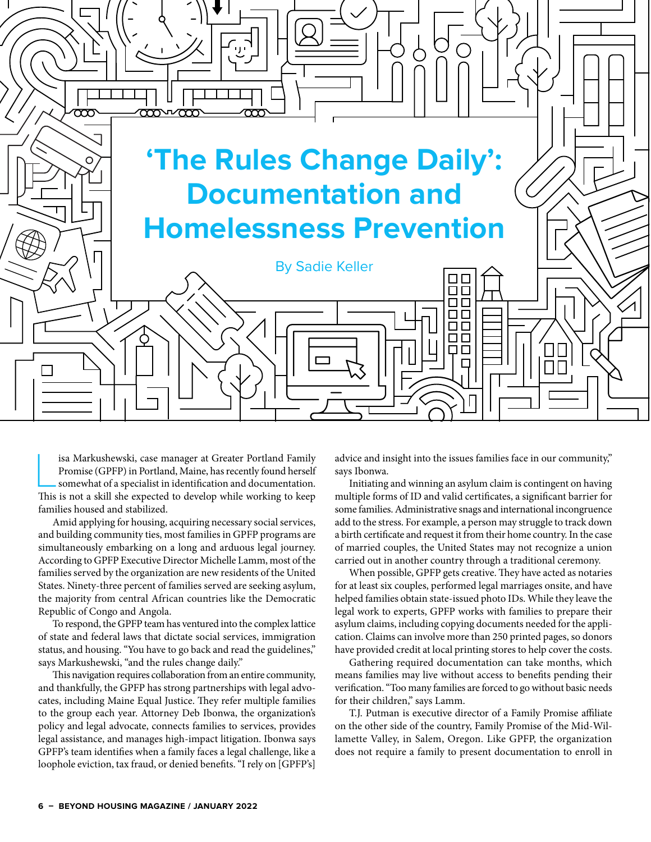

is<br>a Markushewski, case manager at Greater Portland Family Promise (GPFP) in Portland, Maine, has recently found herself<br>somewhat of a specialist in identification and documentation.<br>This is not a skill she expected to dev isa Markushewski, case manager at Greater Portland Family Promise (GPFP) in Portland, Maine, has recently found herself somewhat of a specialist in identification and documentation. families housed and stabilized.

Amid applying for housing, acquiring necessary social services, and building community ties, most families in GPFP programs are simultaneously embarking on a long and arduous legal journey. According to GPFP Executive Director Michelle Lamm, most of the families served by the organization are new residents of the United States. Ninety-three percent of families served are seeking asylum, the majority from central African countries like the Democratic Republic of Congo and Angola.

To respond, the GPFP team has ventured into the complex lattice of state and federal laws that dictate social services, immigration status, and housing. "You have to go back and read the guidelines," says Markushewski, "and the rules change daily."

This navigation requires collaboration from an entire community, and thankfully, the GPFP has strong partnerships with legal advocates, including Maine Equal Justice. They refer multiple families to the group each year. Attorney Deb Ibonwa, the organization's policy and legal advocate, connects families to services, provides legal assistance, and manages high-impact litigation. Ibonwa says GPFP's team identifies when a family faces a legal challenge, like a loophole eviction, tax fraud, or denied benefits. "I rely on [GPFP's]

advice and insight into the issues families face in our community," says Ibonwa.

Initiating and winning an asylum claim is contingent on having multiple forms of ID and valid certificates, a significant barrier for some families. Administrative snags and international incongruence add to the stress. For example, a person may struggle to track down a birth certificate and request it from their home country. In the case of married couples, the United States may not recognize a union carried out in another country through a traditional ceremony.

When possible, GPFP gets creative. They have acted as notaries for at least six couples, performed legal marriages onsite, and have helped families obtain state-issued photo IDs. While they leave the legal work to experts, GPFP works with families to prepare their asylum claims, including copying documents needed for the application. Claims can involve more than 250 printed pages, so donors have provided credit at local printing stores to help cover the costs.

Gathering required documentation can take months, which means families may live without access to benefits pending their verification. "Too many families are forced to go without basic needs for their children," says Lamm.

T.J. Putman is executive director of a Family Promise affiliate on the other side of the country, Family Promise of the Mid-Willamette Valley, in Salem, Oregon. Like GPFP, the organization does not require a family to present documentation to enroll in